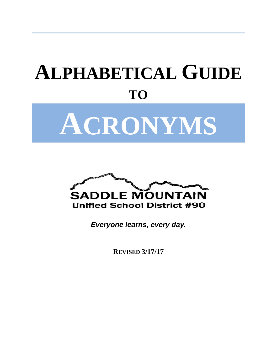# **ALPHABETICAL GUIDE TO ACRONYMS**



*Everyone learns, every day.*

**REVISED 3/17/17**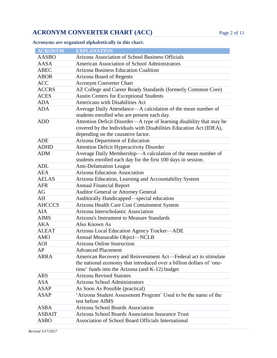**ACRONYM CONVERTER CHART (ACC)** Page 2 of 11

**Acronyms are organized alphabetically in this chart.**

| <b>ACRONYM</b> | <b>EXPLANATION</b>                                                                                          |  |
|----------------|-------------------------------------------------------------------------------------------------------------|--|
| <b>AASBO</b>   | Arizona Association of School Business Officials                                                            |  |
| AASA           | American Association of School Administrators                                                               |  |
| <b>ABEC</b>    | <b>Arizona Business Education Coalition</b>                                                                 |  |
| <b>ABOR</b>    | <b>Arizona Board of Regents</b>                                                                             |  |
| <b>ACC</b>     | <b>Acronym Converter Chart</b>                                                                              |  |
| <b>ACCRS</b>   | AZ College and Career Ready Standards (formerly Common Core)                                                |  |
| <b>ACES</b>    | <b>Austin Centers for Exceptional Students</b>                                                              |  |
| <b>ADA</b>     | Americans with Disabilities Act                                                                             |  |
| <b>ADA</b>     | Average Daily Attendance—A calculation of the mean number of<br>students enrolled who are present each day. |  |
| <b>ADD</b>     | Attention Deficit Disorder-A type of learning disability that may be                                        |  |
|                | covered by the Individuals with Disabilities Education Act (IDEA),                                          |  |
|                | depending on the causative factor.                                                                          |  |
| <b>ADE</b>     | Arizona Department of Education                                                                             |  |
| <b>ADHD</b>    | <b>Attention Deficit Hyperactivity Disorder</b>                                                             |  |
| <b>ADM</b>     | Average Daily Membership-A calculation of the mean number of                                                |  |
|                | students enrolled each day for the first 100 days in session.                                               |  |
| <b>ADL</b>     | <b>Anti-Defamation League</b>                                                                               |  |
| <b>AEA</b>     | <b>Arizona Education Association</b>                                                                        |  |
| <b>AELAS</b>   | Arizona Education, Learning and Accountability System                                                       |  |
| <b>AFR</b>     | <b>Annual Financial Report</b>                                                                              |  |
| AG             | <b>Auditor General or Attorney General</b>                                                                  |  |
| AH             | Auditorally Handicapped—special education                                                                   |  |
| <b>AHCCCS</b>  | Arizona Health Care Cost Containment System                                                                 |  |
| <b>AIA</b>     | Arizona Interscholastic Association                                                                         |  |
| <b>AIMS</b>    | Arizona's Instrument to Measure Standards                                                                   |  |
| <b>AKA</b>     | Also Known As                                                                                               |  |
| <b>ALEAT</b>   | Arizona Local Education Agency Tracker-ADE                                                                  |  |
| <b>AMO</b>     | Annual Measurable Object-NCLB                                                                               |  |
| <b>AOI</b>     | Arizona Online Instruction                                                                                  |  |
| AP             | <b>Advanced Placement</b>                                                                                   |  |
| ARRA           | American Recovery and Reinvestment Act—Federal act to stimulate                                             |  |
|                | the national economy that introduced over a billion dollars of 'one-                                        |  |
|                | time' funds into the Arizona (and K-12) budget                                                              |  |
| <b>ARS</b>     | <b>Arizona Revised Statutes</b>                                                                             |  |
| <b>ASA</b>     | Arizona School Administrators                                                                               |  |
| <b>ASAP</b>    | As Soon As Possible (practical)                                                                             |  |
| <b>ASAP</b>    | 'Arizona Student Assessment Program' Used to be the name of the                                             |  |
|                | test before AIMS                                                                                            |  |
| <b>ASBA</b>    | Arizona School Boards Association                                                                           |  |
| <b>ASBAIT</b>  | Arizona School Boards Association Insurance Trust                                                           |  |
| ASBO           | Association of School Board Officials International                                                         |  |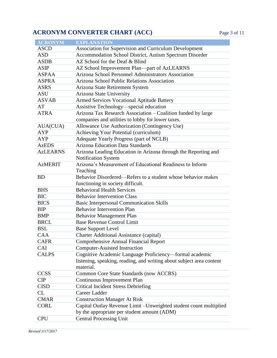#### **ACRONYM CONVERTER CHART (ACC)** Page 3 of 11

| <b>ACRONYM</b>  | <b>EXPLANATION</b>                                                   |
|-----------------|----------------------------------------------------------------------|
| <b>ASCD</b>     | Association for Supervision and Curriculum Development               |
| <b>ASD</b>      | Accommodation School District, Autism Spectrum Disorder              |
| <b>ASDB</b>     | AZ School for the Deaf & Blind                                       |
| <b>ASIP</b>     | AZ School Improvement Plan—part of AzLEARNS                          |
| <b>ASPAA</b>    | Arizona School Personnel Administrators Association                  |
| <b>ASPRA</b>    | Arizona School Public Relations Association                          |
| <b>ASRS</b>     | Arizona State Retirement System                                      |
| <b>ASU</b>      | <b>Arizona State University</b>                                      |
| <b>ASVAB</b>    | <b>Armed Services Vocational Aptitude Battery</b>                    |
| AT              | Assistive Technology—special education                               |
| <b>ATRA</b>     | Arizona Tax Research Association - Coalition funded by large         |
|                 | companies and utilities to lobby for lower taxes.                    |
| AUA(CUA)        | Allowance Use Authorization (Contingency Use)                        |
| <b>AYP</b>      | Achieving Your Potential (curriculum)                                |
| <b>AYP</b>      | Adequate Yearly Progress (part of NCLB)                              |
| <b>AzEDS</b>    | <b>Arizona Education Data Standards</b>                              |
| <b>AzLEARNS</b> | Arizona Leading Education in Arizona through the Reporting and       |
|                 | <b>Notification System</b>                                           |
| <b>AzMERIT</b>  | Arizona's Measurement of Educational Readiness to Inform             |
|                 | Teaching                                                             |
| <b>BD</b>       | Behavior Disordered—Refers to a student whose behavior makes         |
|                 | functioning in society difficult.                                    |
| <b>BHS</b>      | <b>Behavioral Health Services</b>                                    |
| <b>BIC</b>      | <b>Behavior Intervention Class</b>                                   |
| <b>BICS</b>     | <b>Basic Interpersonal Communication Skills</b>                      |
| <b>BIP</b>      | <b>Behavior Intervention Plan</b>                                    |
| <b>BMP</b>      | <b>Behavior Management Plan</b>                                      |
| <b>BRCL</b>     | <b>Base Revenue Control Limit</b>                                    |
| <b>BSL</b>      | <b>Base Support Level</b>                                            |
| CAA             | <b>Charter Additional Assistance (capital)</b>                       |
| <b>CAFR</b>     | <b>Comprehensive Annual Financial Report</b>                         |
| CAI             | <b>Computer-Assisted Instruction</b>                                 |
| <b>CALPS</b>    | Cognitive Academic Language Proficiency—formal academic              |
|                 | listening, speaking, reading, and writing about subject area content |
|                 | material.                                                            |
| <b>CCSS</b>     | Common Core State Standards (now ACCRS)                              |
| CIP             | Continuous Improvement Plan                                          |
| <b>CISD</b>     | <b>Critical Incident Stress Debriefing</b>                           |
| <b>CL</b>       | Career Ladder                                                        |
| <b>CMAR</b>     | <b>Construction Manager At Risk</b>                                  |
| <b>CORL</b>     | Capital Outlay Revenue Limit - Unweighted student count multiplied   |
|                 | by the appropriate per student amount (ADM)                          |
| <b>CPU</b>      | <b>Central Processing Unit</b>                                       |

*Revised 3/17/2017*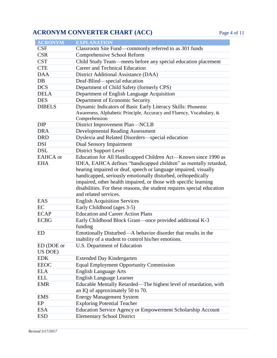### **ACRONYM CONVERTER CHART (ACC)** Page 4 of 11

| <b>ACRONYM</b>  | <b>EXPLANATION</b>                                                                    |
|-----------------|---------------------------------------------------------------------------------------|
| <b>CSF</b>      | Classroom Site Fund—commonly referred to as 301 funds                                 |
| <b>CSR</b>      | Comprehensive School Reform                                                           |
| <b>CST</b>      | Child Study Team-meets before any special education placement                         |
| <b>CTE</b>      | Career and Technical Education                                                        |
| <b>DAA</b>      | District Additional Assistance (DAA)                                                  |
| DB              | Deaf-Blind—special education                                                          |
| <b>DCS</b>      | Department of Child Safety (formerly CPS)                                             |
| <b>DELA</b>     | Department of English Language Acquisition                                            |
| <b>DES</b>      | Department of Economic Security                                                       |
| <b>DIBELS</b>   | Dynamic Indicators of Basic Early Literacy Skills: Phonemic                           |
|                 | Awareness, Alphabetic Principle, Accuracy and Fluency, Vocabulary, &<br>Comprehension |
| <b>DIP</b>      | District Improvement Plan-NCLB                                                        |
| <b>DRA</b>      | <b>Developmental Reading Assessment</b>                                               |
| <b>DRD</b>      | Dyslexia and Related Disorders-special education                                      |
| <b>DSI</b>      | Dual Sensory Impairment                                                               |
| <b>DSL</b>      | <b>District Support Level</b>                                                         |
| <b>EAHCA</b> or | Education for All Handicapped Children Act-Known since 1990 as                        |
| <b>EHA</b>      | IDEA, EAHCA defines "handicapped children" as mentally retarded,                      |
|                 | hearing impaired or deaf, speech or language impaired, visually                       |
|                 | handicapped, seriously emotionally disturbed, orthopedically                          |
|                 | impaired, other health impaired, or those with specific learning                      |
|                 | disabilities. For these reasons, the student requires special education               |
|                 | and related services.                                                                 |
| EAS             | <b>English Acquisition Services</b>                                                   |
| EC              | Early Childhood (ages 3-5)                                                            |
| <b>ECAP</b>     | <b>Education and Career Action Plans</b>                                              |
| <b>ECBG</b>     | Early Childhood Block Grant—once provided additional K-3<br>funding                   |
| ED              | Emotionally Disturbed—A behavior disorder that results in the                         |
|                 | inability of a student to control his/her emotions.                                   |
| ED (DOE or      | U.S. Department of Education                                                          |
| US DOE)         |                                                                                       |
| <b>EDK</b>      | <b>Extended Day Kindergarten</b>                                                      |
| <b>EEOC</b>     | <b>Equal Employment Opportunity Commission</b>                                        |
| <b>ELA</b>      | <b>English Language Arts</b>                                                          |
| <b>ELL</b>      | <b>English Language Learner</b>                                                       |
| <b>EMR</b>      | Educable Mentally Retarded—The highest level of retardation, with                     |
|                 | an IQ of approximately 50 to 70.                                                      |
| <b>EMS</b>      | <b>Energy Management System</b>                                                       |
| EP              | <b>Exploring Potential Teacher</b>                                                    |
| <b>ESA</b>      | Education Service Agency or Empowerment Scholarship Account                           |
| <b>ESD</b>      | <b>Elementary School District</b>                                                     |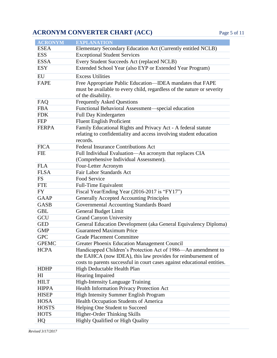# **ACRONYM CONVERTER CHART (ACC)** Page 5 of 11

| <b>ACRONYM</b> | <b>EXPLANATION</b>                                                                           |
|----------------|----------------------------------------------------------------------------------------------|
| <b>ESEA</b>    | Elementary Secondary Education Act (Currently entitled NCLB)                                 |
| <b>ESS</b>     | <b>Exceptional Student Services</b>                                                          |
| <b>ESSA</b>    | Every Student Succeeds Act (replaced NCLB)                                                   |
| <b>ESY</b>     | Extended School Year (also EYP or Extended Year Program)                                     |
| EU             | <b>Excess Utilities</b>                                                                      |
| <b>FAPE</b>    | Free Appropriate Public Education—IDEA mandates that FAPE                                    |
|                | must be available to every child, regardless of the nature or severity<br>of the disability. |
| FAQ            | <b>Frequently Asked Questions</b>                                                            |
| <b>FBA</b>     | Functional Behavioral Assessment-special education                                           |
| <b>FDK</b>     | Full Day Kindergarten                                                                        |
| <b>FEP</b>     | <b>Fluent English Proficient</b>                                                             |
| <b>FERPA</b>   | Family Educational Rights and Privacy Act - A federal statute                                |
|                | relating to confidentiality and access involving student education                           |
|                | records.                                                                                     |
| <b>FICA</b>    | <b>Federal Insurance Contributions Act</b>                                                   |
| <b>FIE</b>     | Full Individual Evaluation-An acronym that replaces CIA                                      |
|                | (Comprehensive Individual Assessment).                                                       |
| <b>FLA</b>     | Four-Letter Acronym                                                                          |
| <b>FLSA</b>    | Fair Labor Standards Act                                                                     |
| <b>FS</b>      | Food Service                                                                                 |
| <b>FTE</b>     | <b>Full-Time Equivalent</b>                                                                  |
| <b>FY</b>      | Fiscal Year/Ending Year (2016-2017 is "FY17")                                                |
| <b>GAAP</b>    | Generally Accepted Accounting Principles                                                     |
| <b>GASB</b>    | Governmental Accounting Standards Board                                                      |
| <b>GBL</b>     | <b>General Budget Limit</b>                                                                  |
| GCU            | <b>Grand Canyon University</b>                                                               |
| <b>GED</b>     | General Education Development (aka General Equivalency Diploma)                              |
| <b>GMP</b>     | <b>Guaranteed Maximum Price</b>                                                              |
| <b>GPC</b>     | <b>Grade Placement Committee</b>                                                             |
| <b>GPEMC</b>   | <b>Greater Phoenix Education Management Council</b>                                          |
| <b>HCPA</b>    | Handicapped Children's Protection Act of 1986—An amendment to                                |
|                | the EAHCA (now IDEA), this law provides for reimbursement of                                 |
|                | costs to parents successful in court cases against educational entities.                     |
| <b>HDHP</b>    | High Deductable Health Plan                                                                  |
| HI             | Hearing Impaired                                                                             |
| <b>HILT</b>    | High-Intensity Language Training                                                             |
| <b>HIPPA</b>   | Health Information Privacy Protection Act                                                    |
| <b>HISEP</b>   | <b>High Intensity Summer English Program</b>                                                 |
| <b>HOSA</b>    | Health Occupation Students of America                                                        |
| <b>HOSTS</b>   | Helping One Student to Succeed                                                               |
| <b>HOTS</b>    | Higher-Order Thinking Skills                                                                 |
| HQ             | <b>Highly Qualified or High Quality</b>                                                      |

*Revised 3/17/2017*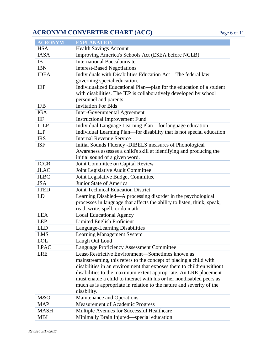# **ACRONYM CONVERTER CHART (ACC)** Page 6 of 11

| <b>ACRONYM</b> | <b>EXPLANATION</b>                                                                                                                                                 |
|----------------|--------------------------------------------------------------------------------------------------------------------------------------------------------------------|
| <b>HSA</b>     | <b>Health Savings Account</b>                                                                                                                                      |
| <b>IASA</b>    | Improving America's Schools Act (ESEA before NCLB)                                                                                                                 |
| IB             | <b>International Baccalaureate</b>                                                                                                                                 |
| <b>IBN</b>     | <b>Interest-Based Negotiations</b>                                                                                                                                 |
| <b>IDEA</b>    | Individuals with Disabilities Education Act—The federal law                                                                                                        |
|                | governing special education.                                                                                                                                       |
| <b>IEP</b>     | Individualized Educational Plan-plan for the education of a student<br>with disabilities. The IEP is collaboratively developed by school<br>personnel and parents. |
| <b>IFB</b>     | <b>Invitation For Bids</b>                                                                                                                                         |
| <b>IGA</b>     | <b>Inter-Governmental Agreement</b>                                                                                                                                |
| IIF            | <b>Instructional Improvement Fund</b>                                                                                                                              |
| <b>ILLP</b>    | Individual Language Learning Plan-for language education                                                                                                           |
| ILP            | Individual Learning Plan—for disability that is not special education                                                                                              |
| <b>IRS</b>     | <b>Internal Revenue Service</b>                                                                                                                                    |
| <b>ISF</b>     | Initial Sounds Fluency -DIBELS measures of Phonological                                                                                                            |
|                | Awareness assesses a child's skill at identifying and producing the                                                                                                |
|                | initial sound of a given word.                                                                                                                                     |
| <b>JCCR</b>    | Joint Committee on Capital Review                                                                                                                                  |
| <b>JLAC</b>    | Joint Legislative Audit Committee                                                                                                                                  |
| <b>JLBC</b>    | Joint Legislative Budget Committee                                                                                                                                 |
| <b>JSA</b>     | Junior State of America                                                                                                                                            |
| <b>JTED</b>    | <b>Joint Technical Education District</b>                                                                                                                          |
| LD             | Learning Disabled—A processing disorder in the psychological                                                                                                       |
|                | processes in language that affects the ability to listen, think, speak,                                                                                            |
|                | read, write, spell, or do math.                                                                                                                                    |
| <b>LEA</b>     | <b>Local Educational Agency</b>                                                                                                                                    |
| <b>LEP</b>     | <b>Limited English Proficient</b>                                                                                                                                  |
| <b>LLD</b>     | Language-Learning Disabilities                                                                                                                                     |
| <b>LMS</b>     | <b>Learning Management System</b>                                                                                                                                  |
| <b>LOL</b>     | Laugh Out Loud                                                                                                                                                     |
| <b>LPAC</b>    | <b>Language Proficiency Assessment Committee</b>                                                                                                                   |
| <b>LRE</b>     | Least-Restrictive Environment—Sometimes known as                                                                                                                   |
|                | mainstreaming, this refers to the concept of placing a child with                                                                                                  |
|                | disabilities in an environment that exposes them to children without                                                                                               |
|                | disabilities to the maximum extent appropriate. An LRE placement                                                                                                   |
|                | must enable a child to interact with his or her nondisabled peers as                                                                                               |
|                | much as is appropriate in relation to the nature and severity of the                                                                                               |
|                | disability.                                                                                                                                                        |
| M&O            | Maintenance and Operations                                                                                                                                         |
| <b>MAP</b>     | <b>Measurement of Academic Progress</b>                                                                                                                            |
| <b>MASH</b>    | Multiple Avenues for Successful Healthcare                                                                                                                         |
| <b>MBI</b>     | Minimally Brain Injured—special education                                                                                                                          |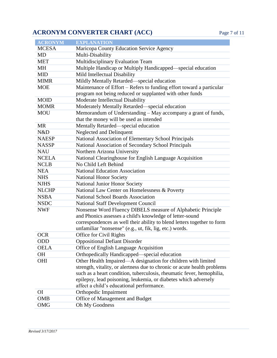#### **ACRONYM CONVERTER CHART (ACC)** Page 7 of 11

| <b>ACRONYM</b> | <b>EXPLANATION</b>                                                                                                               |
|----------------|----------------------------------------------------------------------------------------------------------------------------------|
| <b>MCESA</b>   | Maricopa County Education Service Agency                                                                                         |
| MD             | Multi-Disability                                                                                                                 |
| <b>MET</b>     | Multidisciplinary Evaluation Team                                                                                                |
| MH             | Multiple Handicap or Multiply Handicapped—special education                                                                      |
| <b>MID</b>     | Mild Intellectual Disability                                                                                                     |
| <b>MIMR</b>    | Mildly Mentally Retarded-special education                                                                                       |
| <b>MOE</b>     | Maintenance of Effort - Refers to funding effort toward a particular<br>program not being reduced or supplanted with other funds |
| <b>MOID</b>    | Moderate Intellectual Disability                                                                                                 |
| <b>MOMR</b>    | Moderately Mentally Retarded—special education                                                                                   |
| <b>MOU</b>     | Memorandum of Understanding – May accompany a grant of funds,                                                                    |
|                | that the money will be used as intended                                                                                          |
| <b>MR</b>      | Mentally Retarded—special education                                                                                              |
| N&D            | Neglected and Delinquent                                                                                                         |
| <b>NAESP</b>   | National Association of Elementary School Principals                                                                             |
| <b>NASSP</b>   | National Association of Secondary School Principals                                                                              |
| <b>NAU</b>     | Northern Arizona University                                                                                                      |
| <b>NCELA</b>   | National Clearinghouse for English Language Acquisition                                                                          |
| <b>NCLB</b>    | No Child Left Behind                                                                                                             |
| <b>NEA</b>     | <b>National Education Association</b>                                                                                            |
| <b>NHS</b>     | <b>National Honor Society</b>                                                                                                    |
| <b>NJHS</b>    | National Junior Honor Society                                                                                                    |
| <b>NLCHP</b>   | National Law Center on Homelessness & Poverty                                                                                    |
| <b>NSBA</b>    | National School Boards Association                                                                                               |
| <b>NSDC</b>    | <b>National Staff Development Council</b>                                                                                        |
| <b>NWF</b>     | Nonsense Word Fluency DIBELS measure of Alphabetic Principle                                                                     |
|                | and Phonics assesses a child's knowledge of letter-sound                                                                         |
|                | correspondences as well their ability to blend letters together to form                                                          |
|                | unfamiliar "nonsense" (e.g., ut, fik, lig, etc.) words.                                                                          |
| <b>OCR</b>     | Office for Civil Rights                                                                                                          |
| ODD            | <b>Oppositional Defiant Disorder</b>                                                                                             |
| <b>OELA</b>    | Office of English Language Acquisition                                                                                           |
| <b>OH</b>      | Orthopedically Handicapped—special education                                                                                     |
| OHI            | Other Health Impaired—A designation for children with limited                                                                    |
|                | strength, vitality, or alertness due to chronic or acute health problems                                                         |
|                | such as a heart condition, tuberculosis, rheumatic fever, hemophilia,                                                            |
|                | epilepsy, lead poisoning, leukemia, or diabetes which adversely                                                                  |
|                | affect a child's educational performance.                                                                                        |
| <b>OI</b>      | Orthopedic Impairment                                                                                                            |
| <b>OMB</b>     | Office of Management and Budget                                                                                                  |
| OMG            | Oh My Goodness                                                                                                                   |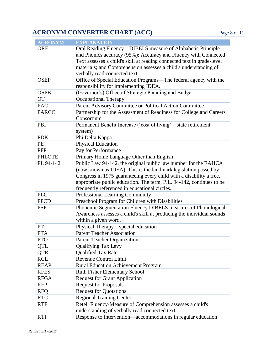# **ACRONYM CONVERTER CHART (ACC)** Page 8 of 11

| <b>ACRONYM</b> | <b>EXPLANATION</b>                                                                            |
|----------------|-----------------------------------------------------------------------------------------------|
| <b>ORF</b>     | Oral Reading Fluency – DIBELS measure of Alphabetic Principle                                 |
|                | and Phonics accuracy (95%); Accuracy and Fluency with Connected                               |
|                | Text assesses a child's skill at reading connected text in grade-level                        |
|                | materials; and Comprehension assesses a child's understanding of                              |
|                | verbally read connected text.                                                                 |
| <b>OSEP</b>    | Office of Special Education Programs-The federal agency with the                              |
|                | responsibility for implementing IDEA.                                                         |
| <b>OSPB</b>    | (Governor's) Office of Strategic Planning and Budget                                          |
| <b>OT</b>      | <b>Occupational Therapy</b>                                                                   |
| <b>PAC</b>     | Parent Advisory Committee or Political Action Committee                                       |
| <b>PARCC</b>   | Partnership for the Assessment of Readiness for College and Careers                           |
|                | Consortium                                                                                    |
| PBI            | Permanent Benefit Increase ('cost of living' - state retirement                               |
|                | system)                                                                                       |
| <b>PDK</b>     | Phi Delta Kappa                                                                               |
| PE             | <b>Physical Education</b>                                                                     |
| <b>PFP</b>     | Pay for Performance                                                                           |
| <b>PHLOTE</b>  | Primary Home Language Other than English                                                      |
| PL 94-142      | Public Law 94-142, the original public law number for the EAHCA                               |
|                | (now known as IDEA). This is the landmark legislation passed by                               |
|                | Congress in 1975 guaranteeing every child with a disability a free,                           |
|                | appropriate public education. The term, P.L. 94-142, continues to be                          |
|                | frequently referenced in educational circles.                                                 |
| <b>PLC</b>     | Professional Learning Community                                                               |
| <b>PPCD</b>    | Preschool Program for Children with Disabilities                                              |
| <b>PSF</b>     | Phonemic Segmentation Fluency DIBELS measures of Phonological                                 |
|                | Awareness assesses a child's skill at producing the individual sounds                         |
|                | within a given word.                                                                          |
| PT             | Physical Therapy—special education                                                            |
| <b>PTA</b>     | <b>Parent Teacher Association</b>                                                             |
| <b>PTO</b>     | <b>Parent Teacher Organization</b>                                                            |
| QTL            | <b>Qualifying Tax Levy</b>                                                                    |
| <b>QTR</b>     | <b>Qualified Tax Rate</b>                                                                     |
| <b>RCL</b>     | <b>Revenue Control Limit</b>                                                                  |
| <b>REAP</b>    | <b>Rural Education Achievement Program</b>                                                    |
| <b>RFES</b>    | Ruth Fisher Elementary School                                                                 |
| <b>RFGA</b>    | <b>Request for Grant Application</b>                                                          |
| <b>RFP</b>     | <b>Request for Proposals</b>                                                                  |
| <b>RFO</b>     | <b>Request for Quotations</b>                                                                 |
| <b>RTC</b>     |                                                                                               |
| <b>RTF</b>     |                                                                                               |
|                | understanding of verbally read connected text.                                                |
| <b>RTI</b>     | Response to Intervention-accommodations in regular education                                  |
|                | <b>Regional Training Center</b><br>Retell Fluency-Measure of Comprehension assesses a child's |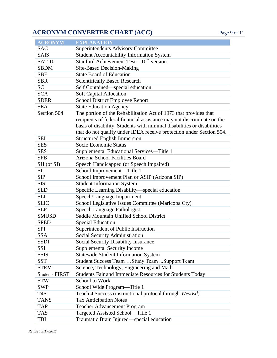#### **ACRONYM CONVERTER CHART (ACC)** Page 9 of 11

**ACRONYM EXPLANATION**

| the control of the control of the                                                                                                                                                                                             |                                                                                                                  |  |
|-------------------------------------------------------------------------------------------------------------------------------------------------------------------------------------------------------------------------------|------------------------------------------------------------------------------------------------------------------|--|
|                                                                                                                                                                                                                               |                                                                                                                  |  |
|                                                                                                                                                                                                                               |                                                                                                                  |  |
|                                                                                                                                                                                                                               |                                                                                                                  |  |
|                                                                                                                                                                                                                               |                                                                                                                  |  |
| <u> 1989 - Johann Stein, marwolaethau a bhann an t-</u>                                                                                                                                                                       |                                                                                                                  |  |
|                                                                                                                                                                                                                               |                                                                                                                  |  |
|                                                                                                                                                                                                                               |                                                                                                                  |  |
|                                                                                                                                                                                                                               |                                                                                                                  |  |
|                                                                                                                                                                                                                               |                                                                                                                  |  |
|                                                                                                                                                                                                                               |                                                                                                                  |  |
|                                                                                                                                                                                                                               |                                                                                                                  |  |
|                                                                                                                                                                                                                               |                                                                                                                  |  |
|                                                                                                                                                                                                                               | and the control of the control of the control of the control of the control of the control of the control of the |  |
|                                                                                                                                                                                                                               |                                                                                                                  |  |
|                                                                                                                                                                                                                               |                                                                                                                  |  |
|                                                                                                                                                                                                                               |                                                                                                                  |  |
|                                                                                                                                                                                                                               |                                                                                                                  |  |
|                                                                                                                                                                                                                               |                                                                                                                  |  |
|                                                                                                                                                                                                                               |                                                                                                                  |  |
|                                                                                                                                                                                                                               | and the control of the control of the control of the control of the control of the control of the control of the |  |
|                                                                                                                                                                                                                               |                                                                                                                  |  |
|                                                                                                                                                                                                                               |                                                                                                                  |  |
|                                                                                                                                                                                                                               |                                                                                                                  |  |
|                                                                                                                                                                                                                               |                                                                                                                  |  |
|                                                                                                                                                                                                                               |                                                                                                                  |  |
| the contract of the contract of the contract of the contract of the contract of the contract of                                                                                                                               |                                                                                                                  |  |
|                                                                                                                                                                                                                               |                                                                                                                  |  |
|                                                                                                                                                                                                                               |                                                                                                                  |  |
|                                                                                                                                                                                                                               |                                                                                                                  |  |
|                                                                                                                                                                                                                               |                                                                                                                  |  |
|                                                                                                                                                                                                                               |                                                                                                                  |  |
|                                                                                                                                                                                                                               |                                                                                                                  |  |
|                                                                                                                                                                                                                               | the contract of the contract of the contract of the contract of the contract of the contract of                  |  |
|                                                                                                                                                                                                                               |                                                                                                                  |  |
|                                                                                                                                                                                                                               |                                                                                                                  |  |
|                                                                                                                                                                                                                               |                                                                                                                  |  |
|                                                                                                                                                                                                                               |                                                                                                                  |  |
|                                                                                                                                                                                                                               |                                                                                                                  |  |
| and the control of the control of the control of the control of the control of the control of the control of the                                                                                                              |                                                                                                                  |  |
|                                                                                                                                                                                                                               |                                                                                                                  |  |
|                                                                                                                                                                                                                               |                                                                                                                  |  |
|                                                                                                                                                                                                                               |                                                                                                                  |  |
|                                                                                                                                                                                                                               |                                                                                                                  |  |
|                                                                                                                                                                                                                               |                                                                                                                  |  |
|                                                                                                                                                                                                                               |                                                                                                                  |  |
|                                                                                                                                                                                                                               |                                                                                                                  |  |
|                                                                                                                                                                                                                               |                                                                                                                  |  |
|                                                                                                                                                                                                                               |                                                                                                                  |  |
|                                                                                                                                                                                                                               |                                                                                                                  |  |
|                                                                                                                                                                                                                               |                                                                                                                  |  |
|                                                                                                                                                                                                                               |                                                                                                                  |  |
|                                                                                                                                                                                                                               |                                                                                                                  |  |
| the control of the control of the control of the control of the control of the control of the control of the control of the control of the control of the control of the control of the control of the control of the control |                                                                                                                  |  |
|                                                                                                                                                                                                                               |                                                                                                                  |  |
|                                                                                                                                                                                                                               |                                                                                                                  |  |
|                                                                                                                                                                                                                               |                                                                                                                  |  |

| <b>SAC</b>            | <b>Superintendents Advisory Committee</b>                               |
|-----------------------|-------------------------------------------------------------------------|
| <b>SAIS</b>           | <b>Student Accountability Information System</b>                        |
| <b>SAT 10</b>         | Stanford Achievement Test $-10^{th}$ version                            |
| <b>SBDM</b>           | Site-Based Decision-Making                                              |
| <b>SBE</b>            | <b>State Board of Education</b>                                         |
| <b>SBR</b>            | <b>Scientifically Based Research</b>                                    |
| SC                    | Self Contained—special education                                        |
| <b>SCA</b>            | <b>Soft Capital Allocation</b>                                          |
| <b>SDER</b>           | School District Employee Report                                         |
| <b>SEA</b>            | <b>State Education Agency</b>                                           |
| Section 504           | The portion of the Rehabilitation Act of 1973 that provides that        |
|                       | recipients of federal financial assistance may not discriminate on the  |
|                       | basis of disability. Students with minimal disabilities or disabilities |
|                       | that do not qualify under IDEA receive protection under Section 504.    |
| <b>SEI</b>            | <b>Structured English Immersion</b>                                     |
| <b>SES</b>            | Socio Economic Status                                                   |
| <b>SES</b>            | Supplemental Educational Services-Title 1                               |
| <b>SFB</b>            | Arizona School Facilities Board                                         |
| SH (or SI)            | Speech Handicapped (or Speech Impaired)                                 |
| <b>SI</b>             | School Improvement-Title 1                                              |
| <b>SIP</b>            | School Improvement Plan or ASIP (Arizona SIP)                           |
| <b>SIS</b>            | <b>Student Information System</b>                                       |
| <b>SLD</b>            | Specific Learning Disability-special education                          |
| <b>SLI</b>            | Speech/Language Impairment                                              |
| <b>SLIC</b>           | School Legislative Issues Committee (Maricopa Cty)                      |
| <b>SLP</b>            | Speech Language Pathologist                                             |
| <b>SMUSD</b>          | Saddle Mountain Unified School District                                 |
| <b>SPED</b>           | <b>Special Education</b>                                                |
| <b>SPI</b>            | Superintendent of Public Instruction                                    |
| <b>SSA</b>            | Social Security Administration                                          |
| <b>SSDI</b>           | Social Security Disability Insurance                                    |
| SSI                   | <b>Supplemental Security Income</b>                                     |
| <b>SSIS</b>           | <b>Statewide Student Information System</b>                             |
| <b>SST</b>            | Student Success Team  Study Team  Support Team                          |
| <b>STEM</b>           | Science, Technology, Engineering and Math                               |
| <b>Students FIRST</b> | Students Fair and Immediate Resources for Students Today                |
| <b>STW</b>            | School to Work                                                          |
| SWP                   | School Wide Program-Title 1                                             |
| T4S                   | Teach 4 Success (instructional protocol through WestEd)                 |
| <b>TANS</b>           | <b>Tax Anticipation Notes</b>                                           |
| <b>TAP</b>            | <b>Teacher Advancement Program</b>                                      |
| <b>TAS</b>            | Targeted Assisted School-Title 1                                        |
| TBI                   | Traumatic Brain Injured—special education                               |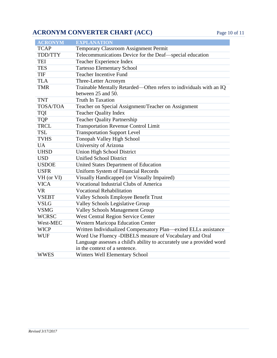### **ACRONYM CONVERTER CHART (ACC)** Page 10 of 11

| <b>ACRONYM</b>  | <b>EXPLANATION</b>                                                    |
|-----------------|-----------------------------------------------------------------------|
| <b>TCAP</b>     | Temporary Classroom Assignment Permit                                 |
| TDD/TTY         | Telecommunications Device for the Deaf—special education              |
| <b>TEI</b>      | Teacher Experience Index                                              |
| <b>TES</b>      | <b>Tartesso Elementary School</b>                                     |
| TIF             | <b>Teacher Incentive Fund</b>                                         |
| <b>TLA</b>      | Three-Letter Acronym                                                  |
| <b>TMR</b>      | Trainable Mentally Retarded—Often refers to individuals with an IQ    |
|                 | between 25 and 50.                                                    |
| <b>TNT</b>      | <b>Truth In Taxation</b>                                              |
| <b>TOSA/TOA</b> | Teacher on Special Assignment/Teacher on Assignment                   |
| <b>TQI</b>      | <b>Teacher Quality Index</b>                                          |
| <b>TQP</b>      | <b>Teacher Quality Partnership</b>                                    |
| <b>TRCL</b>     | <b>Transportation Revenue Control Limit</b>                           |
| <b>TSL</b>      | <b>Transportation Support Level</b>                                   |
| <b>TVHS</b>     | Tonopah Valley High School                                            |
| <b>UA</b>       | University of Arizona                                                 |
| <b>UHSD</b>     | <b>Union High School District</b>                                     |
| <b>USD</b>      | <b>Unified School District</b>                                        |
| <b>USDOE</b>    | United States Department of Education                                 |
| <b>USFR</b>     | <b>Uniform System of Financial Records</b>                            |
| VH (or VI)      | Visually Handicapped (or Visually Impaired)                           |
| <b>VICA</b>     | <b>Vocational Industrial Clubs of America</b>                         |
| <b>VR</b>       | <b>Vocational Rehabilitation</b>                                      |
| <b>VSEBT</b>    | Valley Schools Employee Benefit Trust                                 |
| <b>VSLG</b>     | Valley Schools Legislative Group                                      |
| <b>VSMG</b>     | <b>Valley Schools Management Group</b>                                |
| <b>WCRSC</b>    | <b>West Central Region Service Center</b>                             |
| West-MEC        | <b>Western Maricopa Education Center</b>                              |
| <b>WICP</b>     | Written Individualized Compensatory Plan-exited ELLs assistance       |
| <b>WUF</b>      | Word Use Fluency -DIBELS measure of Vocabulary and Oral               |
|                 | Language assesses a child's ability to accurately use a provided word |
|                 | in the context of a sentence.                                         |
| <b>WWES</b>     | <b>Winters Well Elementary School</b>                                 |